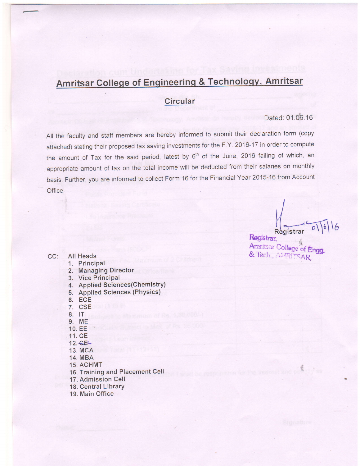# Amritsar College of Engineering & Technology, Amritsar

# **Circular**

### Dated: 01.06.16

All the faculty and staff members are hereby informed to submit their declaration form (copy attached) stating their proposed tax saving investments for the F.Y. 2016-17 in order to compute the amount of Tax for the said period, latest by 6<sup>th</sup> of the June, 2016 failing of which, an appropriate amount of tax on the total income will be deducted from their salaries on monthly basis. Further, you are informed to collect Form 16 for the Financial Year 2015-16 from Account Office,

Registrar

Registrar, Amritsar Collage of Engg. & Tech., AMERITSAR.

CC: All Heads

#### 1. Principal

- 2. Managing Director
- 3. Vice Principal
- 4. Applied Sciences(Chemistry)
- 5. Applied Sciences (PhYsics)
- 6. ECE
- 7. CSE
- 8. IT
- 9. ME
- 10. EE
- 11. CE
- 12.&
- 13. MCA
- 14. MBA
- 15. ACHMT

16. Training and Placement Cell

- 17. Admission Cell
- 18. Central LibrarY
- 19. Main Office '